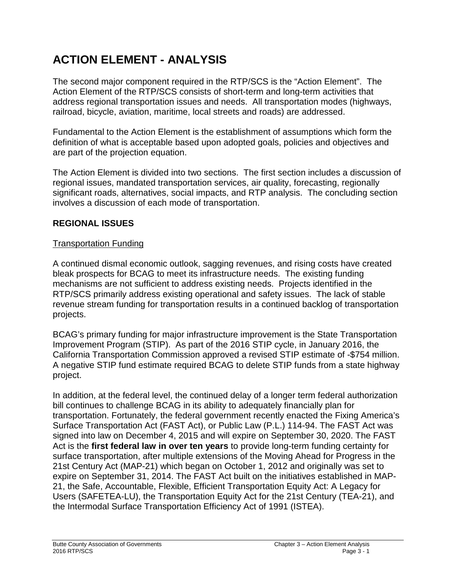# **ACTION ELEMENT - ANALYSIS**

The second major component required in the RTP/SCS is the "Action Element". The Action Element of the RTP/SCS consists of short-term and long-term activities that address regional transportation issues and needs. All transportation modes (highways, railroad, bicycle, aviation, maritime, local streets and roads) are addressed.

Fundamental to the Action Element is the establishment of assumptions which form the definition of what is acceptable based upon adopted goals, policies and objectives and are part of the projection equation.

The Action Element is divided into two sections. The first section includes a discussion of regional issues, mandated transportation services, air quality, forecasting, regionally significant roads, alternatives, social impacts, and RTP analysis. The concluding section involves a discussion of each mode of transportation.

## **REGIONAL ISSUES**

#### Transportation Funding

A continued dismal economic outlook, sagging revenues, and rising costs have created bleak prospects for BCAG to meet its infrastructure needs. The existing funding mechanisms are not sufficient to address existing needs. Projects identified in the RTP/SCS primarily address existing operational and safety issues. The lack of stable revenue stream funding for transportation results in a continued backlog of transportation projects.

BCAG's primary funding for major infrastructure improvement is the State Transportation Improvement Program (STIP). As part of the 2016 STIP cycle, in January 2016, the California Transportation Commission approved a revised STIP estimate of -\$754 million. A negative STIP fund estimate required BCAG to delete STIP funds from a state highway project.

In addition, at the federal level, the continued delay of a longer term federal authorization bill continues to challenge BCAG in its ability to adequately financially plan for transportation. Fortunately, the federal government recently enacted the Fixing America's Surface Transportation Act (FAST Act), or Public Law (P.L.) 114-94. The FAST Act was signed into law on December 4, 2015 and will expire on September 30, 2020. The FAST Act is the **first federal law in over ten years** to provide long-term funding certainty for surface transportation, after multiple extensions of the Moving Ahead for Progress in the 21st Century Act (MAP-21) which began on October 1, 2012 and originally was set to expire on September 31, 2014. The FAST Act built on the initiatives established in MAP-21, the Safe, Accountable, Flexible, Efficient Transportation Equity Act: A Legacy for Users (SAFETEA-LU), the Transportation Equity Act for the 21st Century (TEA-21), and the Intermodal Surface Transportation Efficiency Act of 1991 (ISTEA).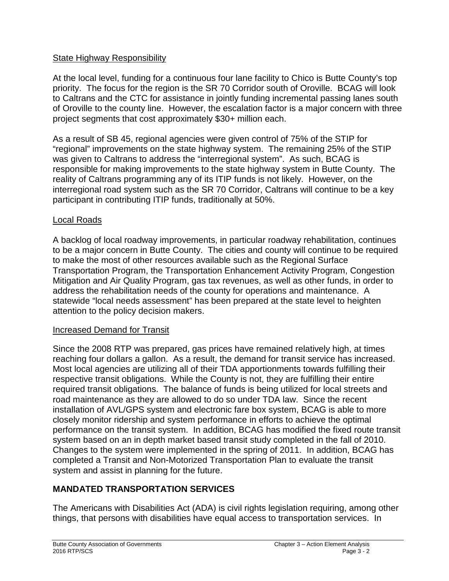#### State Highway Responsibility

At the local level, funding for a continuous four lane facility to Chico is Butte County's top priority. The focus for the region is the SR 70 Corridor south of Oroville. BCAG will look to Caltrans and the CTC for assistance in jointly funding incremental passing lanes south of Oroville to the county line. However, the escalation factor is a major concern with three project segments that cost approximately \$30+ million each.

As a result of SB 45, regional agencies were given control of 75% of the STIP for "regional" improvements on the state highway system. The remaining 25% of the STIP was given to Caltrans to address the "interregional system". As such, BCAG is responsible for making improvements to the state highway system in Butte County. The reality of Caltrans programming any of its ITIP funds is not likely. However, on the interregional road system such as the SR 70 Corridor, Caltrans will continue to be a key participant in contributing ITIP funds, traditionally at 50%.

#### Local Roads

A backlog of local roadway improvements, in particular roadway rehabilitation, continues to be a major concern in Butte County. The cities and county will continue to be required to make the most of other resources available such as the Regional Surface Transportation Program, the Transportation Enhancement Activity Program, Congestion Mitigation and Air Quality Program, gas tax revenues, as well as other funds, in order to address the rehabilitation needs of the county for operations and maintenance. A statewide "local needs assessment" has been prepared at the state level to heighten attention to the policy decision makers.

#### Increased Demand for Transit

Since the 2008 RTP was prepared, gas prices have remained relatively high, at times reaching four dollars a gallon. As a result, the demand for transit service has increased. Most local agencies are utilizing all of their TDA apportionments towards fulfilling their respective transit obligations. While the County is not, they are fulfilling their entire required transit obligations. The balance of funds is being utilized for local streets and road maintenance as they are allowed to do so under TDA law. Since the recent installation of AVL/GPS system and electronic fare box system, BCAG is able to more closely monitor ridership and system performance in efforts to achieve the optimal performance on the transit system. In addition, BCAG has modified the fixed route transit system based on an in depth market based transit study completed in the fall of 2010. Changes to the system were implemented in the spring of 2011. In addition, BCAG has completed a Transit and Non-Motorized Transportation Plan to evaluate the transit system and assist in planning for the future.

# **MANDATED TRANSPORTATION SERVICES**

The Americans with Disabilities Act (ADA) is civil rights legislation requiring, among other things, that persons with disabilities have equal access to transportation services. In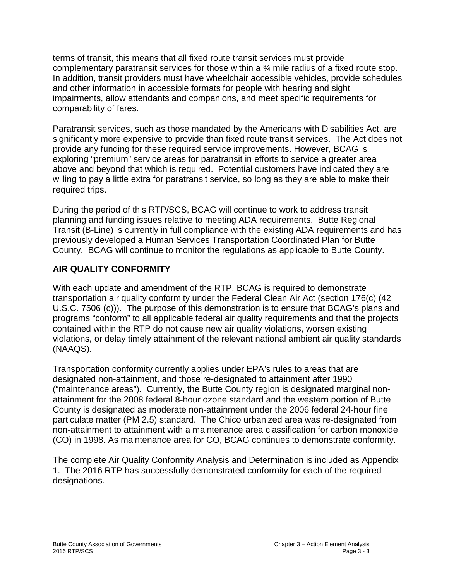terms of transit, this means that all fixed route transit services must provide complementary paratransit services for those within a ¾ mile radius of a fixed route stop. In addition, transit providers must have wheelchair accessible vehicles, provide schedules and other information in accessible formats for people with hearing and sight impairments, allow attendants and companions, and meet specific requirements for comparability of fares.

Paratransit services, such as those mandated by the Americans with Disabilities Act, are significantly more expensive to provide than fixed route transit services. The Act does not provide any funding for these required service improvements. However, BCAG is exploring "premium" service areas for paratransit in efforts to service a greater area above and beyond that which is required. Potential customers have indicated they are willing to pay a little extra for paratransit service, so long as they are able to make their required trips.

During the period of this RTP/SCS, BCAG will continue to work to address transit planning and funding issues relative to meeting ADA requirements. Butte Regional Transit (B-Line) is currently in full compliance with the existing ADA requirements and has previously developed a Human Services Transportation Coordinated Plan for Butte County. BCAG will continue to monitor the regulations as applicable to Butte County.

# **AIR QUALITY CONFORMITY**

With each update and amendment of the RTP, BCAG is required to demonstrate transportation air quality conformity under the Federal Clean Air Act (section 176(c) (42 U.S.C. 7506 (c))). The purpose of this demonstration is to ensure that BCAG's plans and programs "conform" to all applicable federal air quality requirements and that the projects contained within the RTP do not cause new air quality violations, worsen existing violations, or delay timely attainment of the relevant national ambient air quality standards (NAAQS).

Transportation conformity currently applies under EPA's rules to areas that are designated non-attainment, and those re-designated to attainment after 1990 ("maintenance areas"). Currently, the Butte County region is designated marginal nonattainment for the 2008 federal 8-hour ozone standard and the western portion of Butte County is designated as moderate non-attainment under the 2006 federal 24-hour fine particulate matter (PM 2.5) standard. The Chico urbanized area was re-designated from non-attainment to attainment with a maintenance area classification for carbon monoxide (CO) in 1998. As maintenance area for CO, BCAG continues to demonstrate conformity.

The complete Air Quality Conformity Analysis and Determination is included as Appendix 1. The 2016 RTP has successfully demonstrated conformity for each of the required designations.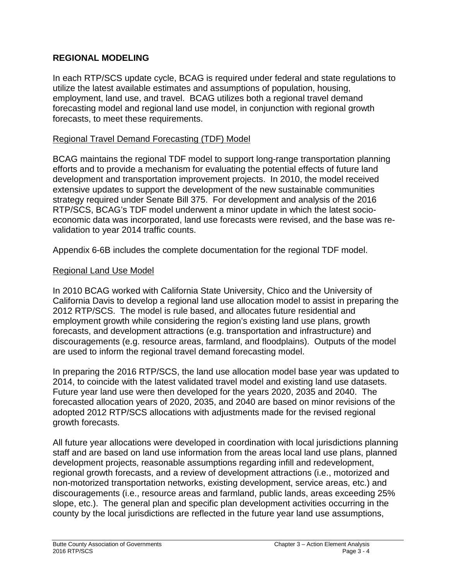#### **REGIONAL MODELING**

In each RTP/SCS update cycle, BCAG is required under federal and state regulations to utilize the latest available estimates and assumptions of population, housing, employment, land use, and travel. BCAG utilizes both a regional travel demand forecasting model and regional land use model, in conjunction with regional growth forecasts, to meet these requirements.

#### Regional Travel Demand Forecasting (TDF) Model

BCAG maintains the regional TDF model to support long-range transportation planning efforts and to provide a mechanism for evaluating the potential effects of future land development and transportation improvement projects. In 2010, the model received extensive updates to support the development of the new sustainable communities strategy required under Senate Bill 375. For development and analysis of the 2016 RTP/SCS, BCAG's TDF model underwent a minor update in which the latest socioeconomic data was incorporated, land use forecasts were revised, and the base was revalidation to year 2014 traffic counts.

Appendix 6-6B includes the complete documentation for the regional TDF model.

#### Regional Land Use Model

In 2010 BCAG worked with California State University, Chico and the University of California Davis to develop a regional land use allocation model to assist in preparing the 2012 RTP/SCS. The model is rule based, and allocates future residential and employment growth while considering the region's existing land use plans, growth forecasts, and development attractions (e.g. transportation and infrastructure) and discouragements (e.g. resource areas, farmland, and floodplains). Outputs of the model are used to inform the regional travel demand forecasting model.

In preparing the 2016 RTP/SCS, the land use allocation model base year was updated to 2014, to coincide with the latest validated travel model and existing land use datasets. Future year land use were then developed for the years 2020, 2035 and 2040. The forecasted allocation years of 2020, 2035, and 2040 are based on minor revisions of the adopted 2012 RTP/SCS allocations with adjustments made for the revised regional growth forecasts.

All future year allocations were developed in coordination with local jurisdictions planning staff and are based on land use information from the areas local land use plans, planned development projects, reasonable assumptions regarding infill and redevelopment, regional growth forecasts, and a review of development attractions (i.e., motorized and non-motorized transportation networks, existing development, service areas, etc.) and discouragements (i.e., resource areas and farmland, public lands, areas exceeding 25% slope, etc.). The general plan and specific plan development activities occurring in the county by the local jurisdictions are reflected in the future year land use assumptions,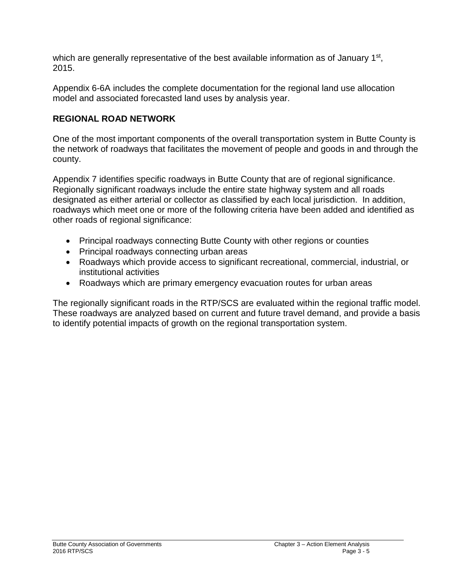which are generally representative of the best available information as of January 1<sup>st</sup>, 2015.

Appendix 6-6A includes the complete documentation for the regional land use allocation model and associated forecasted land uses by analysis year.

# **REGIONAL ROAD NETWORK**

One of the most important components of the overall transportation system in Butte County is the network of roadways that facilitates the movement of people and goods in and through the county.

Appendix 7 identifies specific roadways in Butte County that are of regional significance. Regionally significant roadways include the entire state highway system and all roads designated as either arterial or collector as classified by each local jurisdiction. In addition, roadways which meet one or more of the following criteria have been added and identified as other roads of regional significance:

- Principal roadways connecting Butte County with other regions or counties
- Principal roadways connecting urban areas
- Roadways which provide access to significant recreational, commercial, industrial, or institutional activities
- Roadways which are primary emergency evacuation routes for urban areas

The regionally significant roads in the RTP/SCS are evaluated within the regional traffic model. These roadways are analyzed based on current and future travel demand, and provide a basis to identify potential impacts of growth on the regional transportation system.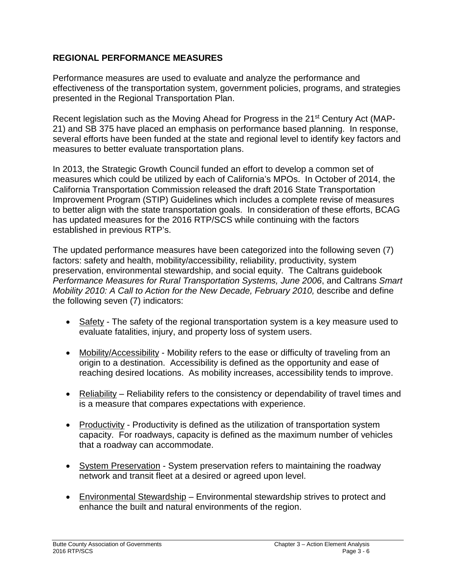# **REGIONAL PERFORMANCE MEASURES**

Performance measures are used to evaluate and analyze the performance and effectiveness of the transportation system, government policies, programs, and strategies presented in the Regional Transportation Plan.

Recent legislation such as the Moving Ahead for Progress in the 21<sup>st</sup> Century Act (MAP-21) and SB 375 have placed an emphasis on performance based planning. In response, several efforts have been funded at the state and regional level to identify key factors and measures to better evaluate transportation plans.

In 2013, the Strategic Growth Council funded an effort to develop a common set of measures which could be utilized by each of California's MPOs. In October of 2014, the California Transportation Commission released the draft 2016 State Transportation Improvement Program (STIP) Guidelines which includes a complete revise of measures to better align with the state transportation goals. In consideration of these efforts, BCAG has updated measures for the 2016 RTP/SCS while continuing with the factors established in previous RTP's.

The updated performance measures have been categorized into the following seven (7) factors: safety and health, mobility/accessibility, reliability, productivity, system preservation, environmental stewardship, and social equity. The Caltrans guidebook *Performance Measures for Rural Transportation Systems, June 2006*, and Caltrans *Smart Mobility 2010: A Call to Action for the New Decade, February 2010, describe and define* the following seven (7) indicators:

- Safety The safety of the regional transportation system is a key measure used to evaluate fatalities, injury, and property loss of system users.
- Mobility/Accessibility Mobility refers to the ease or difficulty of traveling from an origin to a destination. Accessibility is defined as the opportunity and ease of reaching desired locations. As mobility increases, accessibility tends to improve.
- Reliability Reliability refers to the consistency or dependability of travel times and is a measure that compares expectations with experience.
- Productivity Productivity is defined as the utilization of transportation system capacity. For roadways, capacity is defined as the maximum number of vehicles that a roadway can accommodate.
- System Preservation System preservation refers to maintaining the roadway network and transit fleet at a desired or agreed upon level.
- Environmental Stewardship Environmental stewardship strives to protect and enhance the built and natural environments of the region.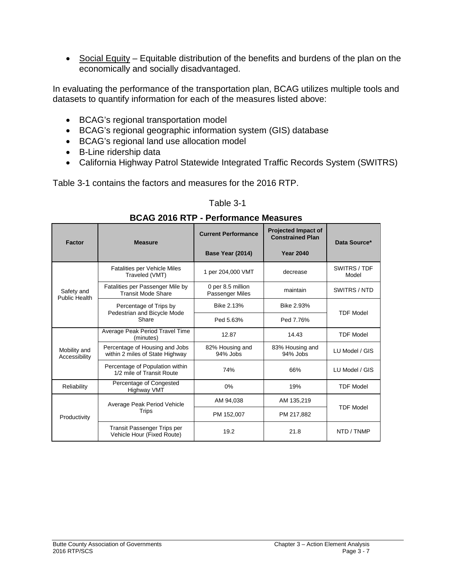• Social Equity – Equitable distribution of the benefits and burdens of the plan on the economically and socially disadvantaged.

In evaluating the performance of the transportation plan, BCAG utilizes multiple tools and datasets to quantify information for each of the measures listed above:

- BCAG's regional transportation model
- BCAG's regional geographic information system (GIS) database
- BCAG's regional land use allocation model
- B-Line ridership data
- California Highway Patrol Statewide Integrated Traffic Records System (SWITRS)

Table 3-1 contains the factors and measures for the 2016 RTP.

#### Table 3-1

| DUAU ZUTU NTF - FEITUNINGING MEGSULGS |                                                                   |                                             |                                                       |                       |  |  |
|---------------------------------------|-------------------------------------------------------------------|---------------------------------------------|-------------------------------------------------------|-----------------------|--|--|
| Factor                                | <b>Measure</b>                                                    | <b>Current Performance</b>                  | <b>Projected Impact of</b><br><b>Constrained Plan</b> | Data Source*          |  |  |
|                                       |                                                                   | Base Year (2014)                            | <b>Year 2040</b>                                      |                       |  |  |
| Safety and<br>Public Health           | <b>Fatalities per Vehicle Miles</b><br>Traveled (VMT)             | 1 per 204,000 VMT                           | decrease                                              | SWITRS / TDF<br>Model |  |  |
|                                       | Fatalities per Passenger Mile by<br><b>Transit Mode Share</b>     | 0 per 8.5 million<br><b>Passenger Miles</b> | maintain                                              | SWITRS / NTD          |  |  |
|                                       | Percentage of Trips by<br>Pedestrian and Bicycle Mode<br>Share    | Bike 2.13%                                  | Bike 2.93%                                            | <b>TDF Model</b>      |  |  |
|                                       |                                                                   | Ped 5.63%                                   | Ped 7.76%                                             |                       |  |  |
| Mobility and<br>Accessibility         | Average Peak Period Travel Time<br>(minutes)                      | 12.87                                       | 14.43                                                 | <b>TDF Model</b>      |  |  |
|                                       | Percentage of Housing and Jobs<br>within 2 miles of State Highway | 82% Housing and<br>94% Jobs                 | 83% Housing and<br>94% Jobs                           | LU Model / GIS        |  |  |
|                                       | Percentage of Population within<br>1/2 mile of Transit Route      | 74%                                         | 66%                                                   | LU Model / GIS        |  |  |
| Reliability                           | Percentage of Congested<br>Highway VMT                            | 0%                                          | 19%                                                   | <b>TDF Model</b>      |  |  |
| Productivity                          | Average Peak Period Vehicle<br>Trips                              | AM 94,038                                   | AM 135,219                                            | <b>TDF Model</b>      |  |  |
|                                       |                                                                   | PM 152,007                                  | PM 217,882                                            |                       |  |  |
|                                       | Transit Passenger Trips per<br>Vehicle Hour (Fixed Route)         | 19.2                                        | 21.8                                                  | NTD / TNMP            |  |  |

# **BCAG 2016 RTP - Performance Measures**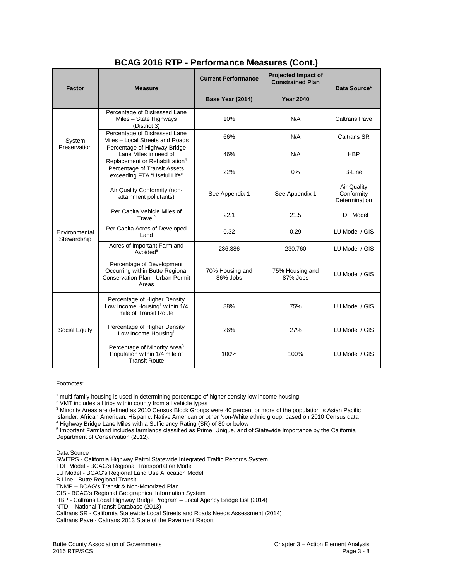|                              |                                                                                                           |                             | -                                                     |                                                   |
|------------------------------|-----------------------------------------------------------------------------------------------------------|-----------------------------|-------------------------------------------------------|---------------------------------------------------|
| <b>Factor</b>                | <b>Measure</b>                                                                                            | <b>Current Performance</b>  | <b>Projected Impact of</b><br><b>Constrained Plan</b> | Data Source*                                      |
|                              |                                                                                                           | Base Year (2014)            | <b>Year 2040</b>                                      |                                                   |
| System<br>Preservation       | Percentage of Distressed Lane<br>Miles - State Highways<br>(District 3)                                   | 10%                         | N/A                                                   | <b>Caltrans Pave</b>                              |
|                              | Percentage of Distressed Lane<br>Miles - Local Streets and Roads                                          | 66%                         | N/A                                                   | <b>Caltrans SR</b>                                |
|                              | Percentage of Highway Bridge<br>Lane Miles in need of<br>Replacement or Rehabilitation <sup>4</sup>       | 46%                         | N/A                                                   | <b>HBP</b>                                        |
|                              | Percentage of Transit Assets<br>exceeding FTA "Useful Life"                                               | 22%                         | 0%                                                    | <b>B-Line</b>                                     |
| Environmental<br>Stewardship | Air Quality Conformity (non-<br>attainment pollutants)                                                    | See Appendix 1              | See Appendix 1                                        | <b>Air Quality</b><br>Conformity<br>Determination |
|                              | Per Capita Vehicle Miles of<br>True                                                                       | 22.1                        | 21.5                                                  | <b>TDF Model</b>                                  |
|                              | Per Capita Acres of Developed<br>Land                                                                     | 0.32                        | 0.29                                                  | LU Model / GIS                                    |
|                              | Acres of Important Farmland<br>Avoided <sup>5</sup>                                                       | 236,386                     | 230,760                                               | LU Model / GIS                                    |
|                              | Percentage of Development<br>Occurring within Butte Regional<br>Conservation Plan - Urban Permit<br>Areas | 70% Housing and<br>86% Jobs | 75% Housing and<br>87% Jobs                           | LU Model / GIS                                    |
| Social Equity                | Percentage of Higher Density<br>Low Income Housing <sup>1</sup> within 1/4<br>mile of Transit Route       | 88%                         | 75%                                                   | LU Model / GIS                                    |
|                              | Percentage of Higher Density<br>Low Income Housing <sup>1</sup>                                           | 26%                         | 27%                                                   | LU Model / GIS                                    |
|                              | Percentage of Minority Area <sup>3</sup><br>Population within 1/4 mile of<br><b>Transit Route</b>         | 100%                        | 100%                                                  | LU Model / GIS                                    |

#### **BCAG 2016 RTP - Performance Measures (Cont.)**

#### Footnotes:

<sup>1</sup> multi-family housing is used in determining percentage of higher density low income housing

<sup>2</sup> VMT includes all trips within county from all vehicle types

<sup>3</sup> Minority Areas are defined as 2010 Census Block Groups were 40 percent or more of the population is Asian Pacific Islander, African American, Hispanic, Native American or other Non-White ethnic group, based on 2010 Census data <sup>4</sup> Highway Bridge Lane Miles with a Sufficiency Rating (SR) of 80 or below

<sup>5</sup> Important Farmland includes farmlands classified as Prime, Unique, and of Statewide Importance by the California Department of Conservation (2012).

Data Source

SWITRS - California Highway Patrol Statewide Integrated Traffic Records System

TDF Model - BCAG's Regional Transportation Model LU Model - BCAG's Regional Land Use Allocation Model

B-Line - Butte Regional Transit

TNMP – BCAG's Transit & Non-Motorized Plan

GIS - BCAG's Regional Geographical Information System

HBP - Caltrans Local Highway Bridge Program – Local Agency Bridge List (2014)

NTD – National Transit Database (2013)

Caltrans SR - California Statewide Local Streets and Roads Needs Assessment (2014)

Caltrans Pave - Caltrans 2013 State of the Pavement Report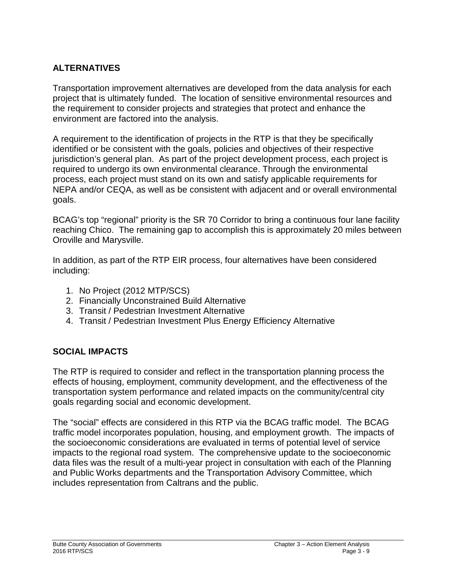# **ALTERNATIVES**

Transportation improvement alternatives are developed from the data analysis for each project that is ultimately funded. The location of sensitive environmental resources and the requirement to consider projects and strategies that protect and enhance the environment are factored into the analysis.

A requirement to the identification of projects in the RTP is that they be specifically identified or be consistent with the goals, policies and objectives of their respective jurisdiction's general plan. As part of the project development process, each project is required to undergo its own environmental clearance. Through the environmental process, each project must stand on its own and satisfy applicable requirements for NEPA and/or CEQA, as well as be consistent with adjacent and or overall environmental goals.

BCAG's top "regional" priority is the SR 70 Corridor to bring a continuous four lane facility reaching Chico. The remaining gap to accomplish this is approximately 20 miles between Oroville and Marysville.

In addition, as part of the RTP EIR process, four alternatives have been considered including:

- 1. No Project (2012 MTP/SCS)
- 2. Financially Unconstrained Build Alternative
- 3. Transit / Pedestrian Investment Alternative
- 4. Transit / Pedestrian Investment Plus Energy Efficiency Alternative

# **SOCIAL IMPACTS**

The RTP is required to consider and reflect in the transportation planning process the effects of housing, employment, community development, and the effectiveness of the transportation system performance and related impacts on the community/central city goals regarding social and economic development.

The "social" effects are considered in this RTP via the BCAG traffic model. The BCAG traffic model incorporates population, housing, and employment growth. The impacts of the socioeconomic considerations are evaluated in terms of potential level of service impacts to the regional road system. The comprehensive update to the socioeconomic data files was the result of a multi-year project in consultation with each of the Planning and Public Works departments and the Transportation Advisory Committee, which includes representation from Caltrans and the public.